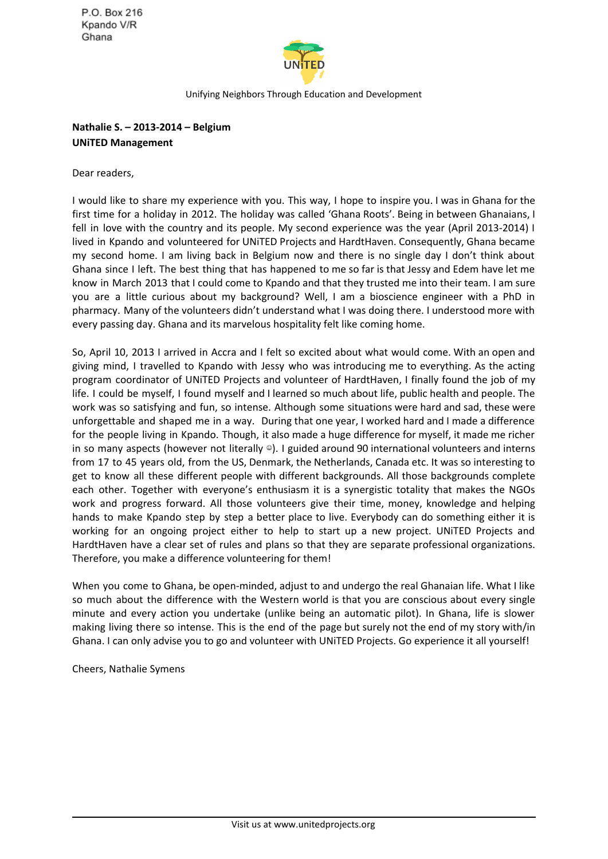P.O. Box 216 Kpando V/R Ghana



Unifying Neighbors Through Education and Development

**Nathalie S. – 2013-2014 – Belgium UNiTED Management**

Dear readers,

I would like to share my experience with you. This way, I hope to inspire you. I was in Ghana for the first time for a holiday in 2012. The holiday was called 'Ghana Roots'. Being in between Ghanaians, I fell in love with the country and its people. My second experience was the year (April 2013-2014) I lived in Kpando and volunteered for UNiTED Projects and HardtHaven. Consequently, Ghana became my second home. I am living back in Belgium now and there is no single day I don't think about Ghana since I left. The best thing that has happened to me so far is that Jessy and Edem have let me know in March 2013 that I could come to Kpando and that they trusted me into their team. I am sure you are a little curious about my background? Well, I am a bioscience engineer with a PhD in pharmacy. Many of the volunteers didn't understand what I was doing there. I understood more with every passing day. Ghana and its marvelous hospitality felt like coming home.

So, April 10, 2013 I arrived in Accra and I felt so excited about what would come. With an open and giving mind, I travelled to Kpando with Jessy who was introducing me to everything. As the acting program coordinator of UNiTED Projects and volunteer of HardtHaven, I finally found the job of my life. I could be myself, I found myself and I learned so much about life, public health and people. The work was so satisfying and fun, so intense. Although some situations were hard and sad, these were unforgettable and shaped me in a way. During that one year, I worked hard and I made a difference for the people living in Kpando. Though, it also made a huge difference for myself, it made me richer in so many aspects (however not literally  $\circ$ ). I guided around 90 international volunteers and interns from 17 to 45 years old, from the US, Denmark, the Netherlands, Canada etc. It was so interesting to get to know all these different people with different backgrounds. All those backgrounds complete each other. Together with everyone's enthusiasm it is a synergistic totality that makes the NGOs work and progress forward. All those volunteers give their time, money, knowledge and helping hands to make Kpando step by step a better place to live. Everybody can do something either it is working for an ongoing project either to help to start up a new project. UNiTED Projects and HardtHaven have a clear set of rules and plans so that they are separate professional organizations. Therefore, you make a difference volunteering for them!

When you come to Ghana, be open-minded, adjust to and undergo the real Ghanaian life. What I like so much about the difference with the Western world is that you are conscious about every single minute and every action you undertake (unlike being an automatic pilot). In Ghana, life is slower making living there so intense. This is the end of the page but surely not the end of my story with/in Ghana. I can only advise you to go and volunteer with UNiTED Projects. Go experience it all yourself!

Cheers, Nathalie Symens